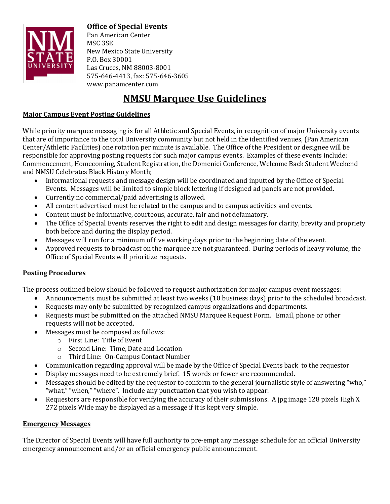

**Office of Special Events** 

Pan American Center MSC<sub>3SE</sub> New Mexico State University P.O. Box 30001 Las Cruces, NM 88003-8001 575-646-4413, fax: 575-646-3605 www.panamcenter.com

## **NMSU Marquee Use Guidelines**

### **Major Campus Event Posting Guidelines**

While priority marquee messaging is for all Athletic and Special Events, in recognition of major University events that are of importance to the total University community but not held in the identified venues, (Pan American Center/Athletic Facilities) one rotation per minute is available. The Office of the President or designee will be responsible for approving posting requests for such major campus events. Examples of these events include: Commencement, Homecoming, Student Registration, the Domenici Conference, Welcome Back Student Weekend and NMSU Celebrates Black History Month;

- Informational requests and message design will be coordinated and inputted by the Office of Special Events. Messages will be limited to simple block lettering if designed ad panels are not provided.
- Currently no commercial/paid advertising is allowed.
- All content advertised must be related to the campus and to campus activities and events.
- Content must be informative, courteous, accurate, fair and not defamatory.
- The Office of Special Events reserves the right to edit and design messages for clarity, brevity and propriety both before and during the display period.
- Messages will run for a minimum of five working days prior to the beginning date of the event.
- Approved requests to broadcast on the marquee are not guaranteed. During periods of heavy volume, the Office of Special Events will prioritize requests.

#### **Posting Procedures**

The process outlined below should be followed to request authorization for major campus event messages:

- Announcements must be submitted at least two weeks (10 business days) prior to the scheduled broadcast.
- Requests may only be submitted by recognized campus organizations and departments.
- Requests must be submitted on the attached NMSU Marquee Request Form. Email, phone or other requests will not be accepted.
- Messages must be composed as follows:
	- $\circ$  First Line: Title of Event
	- $\circ$  Second Line: Time, Date and Location
	- o Third Line: On-Campus Contact Number
- Communication regarding approval will be made by the Office of Special Events back to the requestor
- Display messages need to be extremely brief. 15 words or fewer are recommended.
- Messages should be edited by the requestor to conform to the general journalistic style of answering "who," "what," "when," "where". Include any punctuation that you wish to appear.
- Requestors are responsible for verifying the accuracy of their submissions. A jpg image 128 pixels High X 272 pixels Wide may be displayed as a message if it is kept very simple.

#### **Emergency Messages**

The Director of Special Events will have full authority to pre-empt any message schedule for an official University emergency announcement and/or an official emergency public announcement.